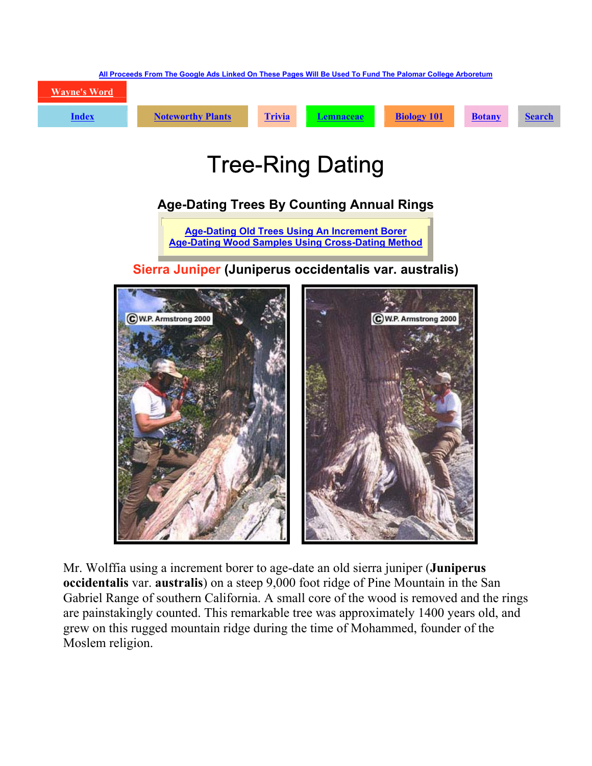

## Tree-Ring Dating

## **Age-Dating Trees By Counting Annual Rings**

**[Age-Dating Old Trees Using An Increment Borer](http://waynesword.palomar.edu/treedate.htm) [Age-Dating Wood Samples Using Cross-Dating Method](http://waynesword.palomar.edu/treedate.htm)**

## **Sierra Juniper (Juniperus occidentalis var. australis)**



Mr. Wolffia using a increment borer to age-date an old sierra juniper (**Juniperus occidentalis** var. **australis**) on a steep 9,000 foot ridge of Pine Mountain in the San Gabriel Range of southern California. A small core of the wood is removed and the rings are painstakingly counted. This remarkable tree was approximately 1400 years old, and grew on this rugged mountain ridge during the time of Mohammed, founder of the Moslem religion.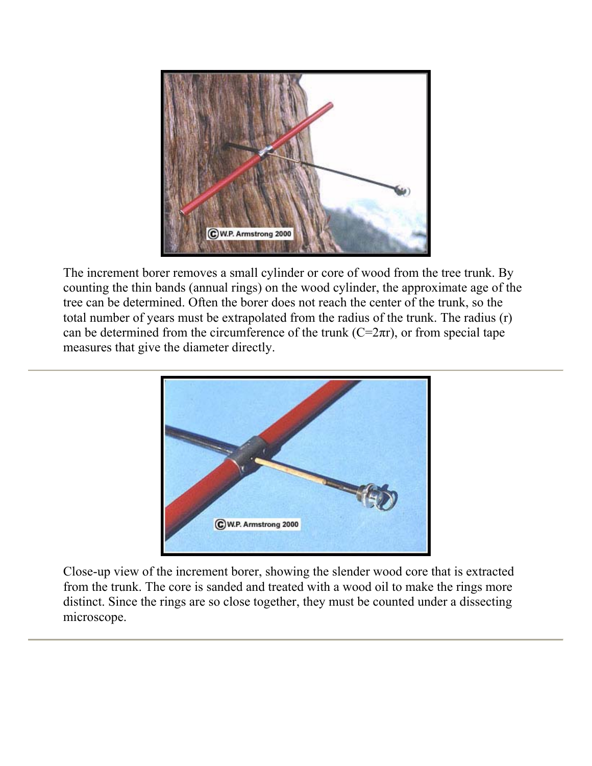

The increment borer removes a small cylinder or core of wood from the tree trunk. By counting the thin bands (annual rings) on the wood cylinder, the approximate age of the tree can be determined. Often the borer does not reach the center of the trunk, so the total number of years must be extrapolated from the radius of the trunk. The radius (r) can be determined from the circumference of the trunk  $(C=2\pi r)$ , or from special tape measures that give the diameter directly.



Close-up view of the increment borer, showing the slender wood core that is extracted from the trunk. The core is sanded and treated with a wood oil to make the rings more distinct. Since the rings are so close together, they must be counted under a dissecting microscope.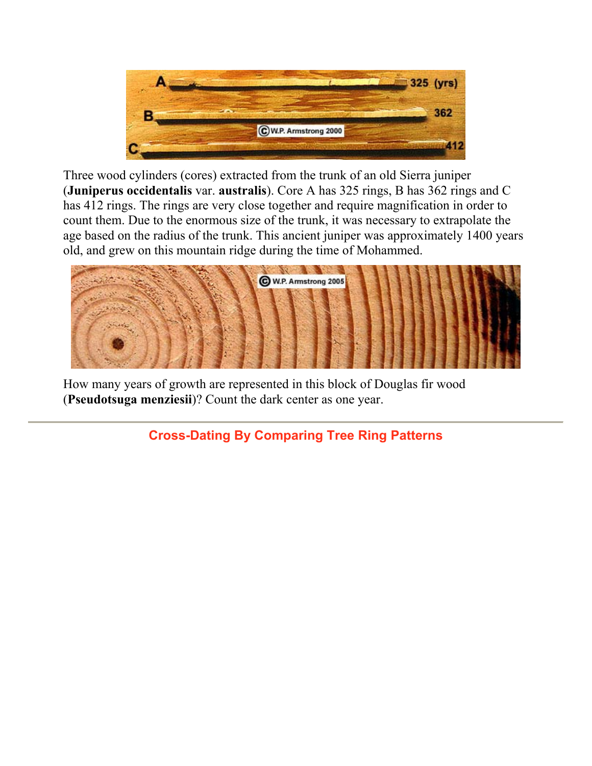

Three wood cylinders (cores) extracted from the trunk of an old Sierra juniper (**Juniperus occidentalis** var. **australis**). Core A has 325 rings, B has 362 rings and C has 412 rings. The rings are very close together and require magnification in order to count them. Due to the enormous size of the trunk, it was necessary to extrapolate the age based on the radius of the trunk. This ancient juniper was approximately 1400 years old, and grew on this mountain ridge during the time of Mohammed.



How many years of growth are represented in this block of Douglas fir wood (**Pseudotsuga menziesii**)? Count the dark center as one year.

**Cross-Dating By Comparing Tree Ring Patterns**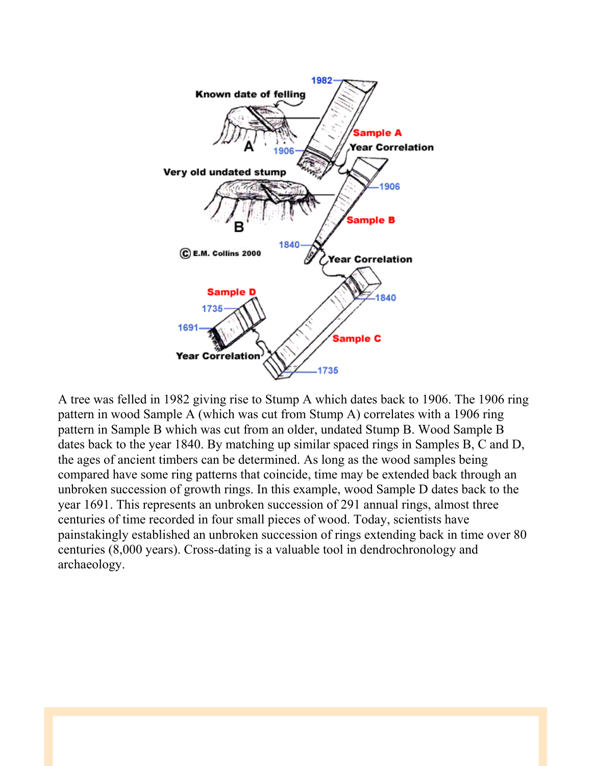

A tree was felled in 1982 giving rise to Stump A which dates back to 1906. The 1906 ring pattern in wood Sample A (which was cut from Stump A) correlates with a 1906 ring pattern in Sample B which was cut from an older, undated Stump B. Wood Sample B dates back to the year 1840. By matching up similar spaced rings in Samples B, C and D, the ages of ancient timbers can be determined. As long as the wood samples being compared have some ring patterns that coincide, time may be extended back through an unbroken succession of growth rings. In this example, wood Sample D dates back to the year 1691. This represents an unbroken succession of 291 annual rings, almost three centuries of time recorded in four small pieces of wood. Today, scientists have painstakingly established an unbroken succession of rings extending back in time over 80 centuries (8,000 years). Cross-dating is a valuable tool in dendrochronology and archaeology.